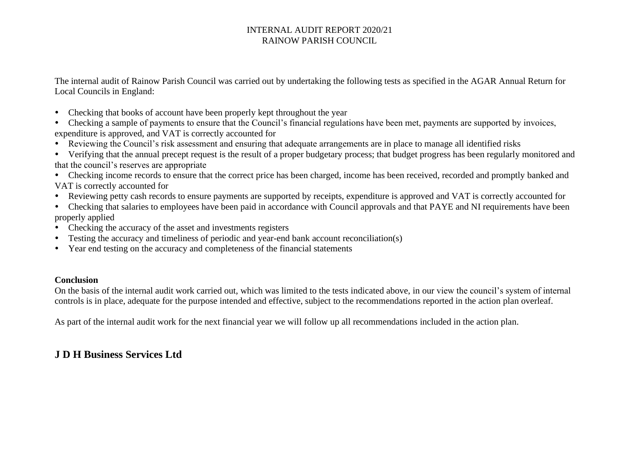The internal audit of Rainow Parish Council was carried out by undertaking the following tests as specified in the AGAR Annual Return for Local Councils in England:

- Checking that books of account have been properly kept throughout the year
- Checking a sample of payments to ensure that the Council's financial regulations have been met, payments are supported by invoices, expenditure is approved, and VAT is correctly accounted for
- Reviewing the Council's risk assessment and ensuring that adequate arrangements are in place to manage all identified risks
- Verifying that the annual precept request is the result of a proper budgetary process; that budget progress has been regularly monitored and that the council's reserves are appropriate
- Checking income records to ensure that the correct price has been charged, income has been received, recorded and promptly banked and VAT is correctly accounted for
- Reviewing petty cash records to ensure payments are supported by receipts, expenditure is approved and VAT is correctly accounted for
- Checking that salaries to employees have been paid in accordance with Council approvals and that PAYE and NI requirements have been properly applied
- Checking the accuracy of the asset and investments registers
- Testing the accuracy and timeliness of periodic and year-end bank account reconciliation(s)
- Year end testing on the accuracy and completeness of the financial statements

#### **Conclusion**

On the basis of the internal audit work carried out, which was limited to the tests indicated above, in our view the council's system of internal controls is in place, adequate for the purpose intended and effective, subject to the recommendations reported in the action plan overleaf.

As part of the internal audit work for the next financial year we will follow up all recommendations included in the action plan.

# **J D H Business Services Ltd**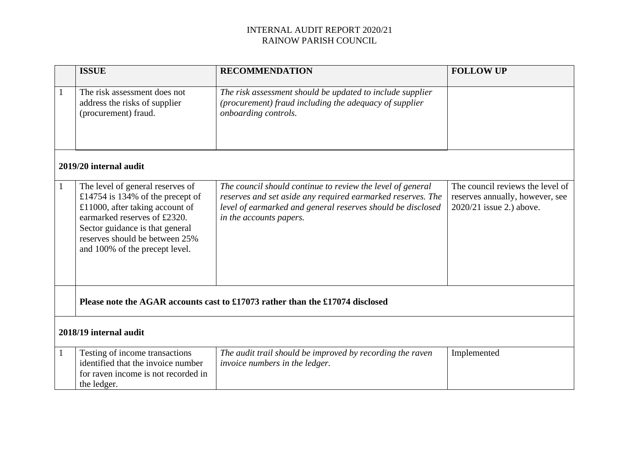|                        | <b>ISSUE</b>                                                                                                                                                                                                                                   | <b>RECOMMENDATION</b>                                                                                                                                                                                               | <b>FOLLOW UP</b>                                                                                |  |  |  |  |
|------------------------|------------------------------------------------------------------------------------------------------------------------------------------------------------------------------------------------------------------------------------------------|---------------------------------------------------------------------------------------------------------------------------------------------------------------------------------------------------------------------|-------------------------------------------------------------------------------------------------|--|--|--|--|
| $\mathbf{1}$           | The risk assessment does not<br>address the risks of supplier<br>(procurement) fraud.                                                                                                                                                          | The risk assessment should be updated to include supplier<br>(procurement) fraud including the adequacy of supplier<br>onboarding controls.                                                                         |                                                                                                 |  |  |  |  |
| 2019/20 internal audit |                                                                                                                                                                                                                                                |                                                                                                                                                                                                                     |                                                                                                 |  |  |  |  |
| $\mathbf{1}$           | The level of general reserves of<br>£14754 is 134% of the precept of<br>£11000, after taking account of<br>earmarked reserves of £2320.<br>Sector guidance is that general<br>reserves should be between 25%<br>and 100% of the precept level. | The council should continue to review the level of general<br>reserves and set aside any required earmarked reserves. The<br>level of earmarked and general reserves should be disclosed<br>in the accounts papers. | The council reviews the level of<br>reserves annually, however, see<br>2020/21 issue 2.) above. |  |  |  |  |
|                        | Please note the AGAR accounts cast to £17073 rather than the £17074 disclosed                                                                                                                                                                  |                                                                                                                                                                                                                     |                                                                                                 |  |  |  |  |
| 2018/19 internal audit |                                                                                                                                                                                                                                                |                                                                                                                                                                                                                     |                                                                                                 |  |  |  |  |
|                        | Testing of income transactions<br>identified that the invoice number<br>for raven income is not recorded in<br>the ledger.                                                                                                                     | The audit trail should be improved by recording the raven<br>invoice numbers in the ledger.                                                                                                                         | Implemented                                                                                     |  |  |  |  |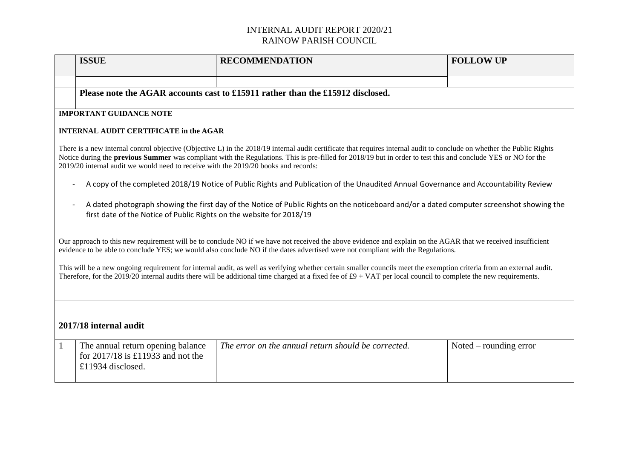|                                                                                                                                                                                                                                                                                                                                                                                                                                                                                                                                                                                | <b>ISSUE</b>                                                                                  | <b>RECOMMENDATION</b>                               | <b>FOLLOW UP</b>                |  |  |  |  |  |
|--------------------------------------------------------------------------------------------------------------------------------------------------------------------------------------------------------------------------------------------------------------------------------------------------------------------------------------------------------------------------------------------------------------------------------------------------------------------------------------------------------------------------------------------------------------------------------|-----------------------------------------------------------------------------------------------|-----------------------------------------------------|---------------------------------|--|--|--|--|--|
|                                                                                                                                                                                                                                                                                                                                                                                                                                                                                                                                                                                |                                                                                               |                                                     |                                 |  |  |  |  |  |
|                                                                                                                                                                                                                                                                                                                                                                                                                                                                                                                                                                                | Please note the AGAR accounts cast to £15911 rather than the £15912 disclosed.                |                                                     |                                 |  |  |  |  |  |
| <b>IMPORTANT GUIDANCE NOTE</b>                                                                                                                                                                                                                                                                                                                                                                                                                                                                                                                                                 |                                                                                               |                                                     |                                 |  |  |  |  |  |
|                                                                                                                                                                                                                                                                                                                                                                                                                                                                                                                                                                                |                                                                                               |                                                     |                                 |  |  |  |  |  |
| <b>INTERNAL AUDIT CERTIFICATE in the AGAR</b>                                                                                                                                                                                                                                                                                                                                                                                                                                                                                                                                  |                                                                                               |                                                     |                                 |  |  |  |  |  |
| There is a new internal control objective (Objective L) in the 2018/19 internal audit certificate that requires internal audit to conclude on whether the Public Rights<br>Notice during the <b>previous Summer</b> was compliant with the Regulations. This is pre-filled for 2018/19 but in order to test this and conclude YES or NO for the<br>2019/20 internal audit we would need to receive with the 2019/20 books and records:<br>A copy of the completed 2018/19 Notice of Public Rights and Publication of the Unaudited Annual Governance and Accountability Review |                                                                                               |                                                     |                                 |  |  |  |  |  |
| A dated photograph showing the first day of the Notice of Public Rights on the noticeboard and/or a dated computer screenshot showing the<br>first date of the Notice of Public Rights on the website for 2018/19                                                                                                                                                                                                                                                                                                                                                              |                                                                                               |                                                     |                                 |  |  |  |  |  |
| Our approach to this new requirement will be to conclude NO if we have not received the above evidence and explain on the AGAR that we received insufficient<br>evidence to be able to conclude YES; we would also conclude NO if the dates advertised were not compliant with the Regulations.                                                                                                                                                                                                                                                                                |                                                                                               |                                                     |                                 |  |  |  |  |  |
| This will be a new ongoing requirement for internal audit, as well as verifying whether certain smaller councils meet the exemption criteria from an external audit.<br>Therefore, for the 2019/20 internal audits there will be additional time charged at a fixed fee of $\text{\pounds}9 + \text{VAT}$ per local council to complete the new requirements.                                                                                                                                                                                                                  |                                                                                               |                                                     |                                 |  |  |  |  |  |
|                                                                                                                                                                                                                                                                                                                                                                                                                                                                                                                                                                                |                                                                                               |                                                     |                                 |  |  |  |  |  |
| 2017/18 internal audit                                                                                                                                                                                                                                                                                                                                                                                                                                                                                                                                                         |                                                                                               |                                                     |                                 |  |  |  |  |  |
| $\mathbf{1}$                                                                                                                                                                                                                                                                                                                                                                                                                                                                                                                                                                   | The annual return opening balance<br>for $2017/18$ is £11933 and not the<br>£11934 disclosed. | The error on the annual return should be corrected. | $\text{Noted}$ – rounding error |  |  |  |  |  |